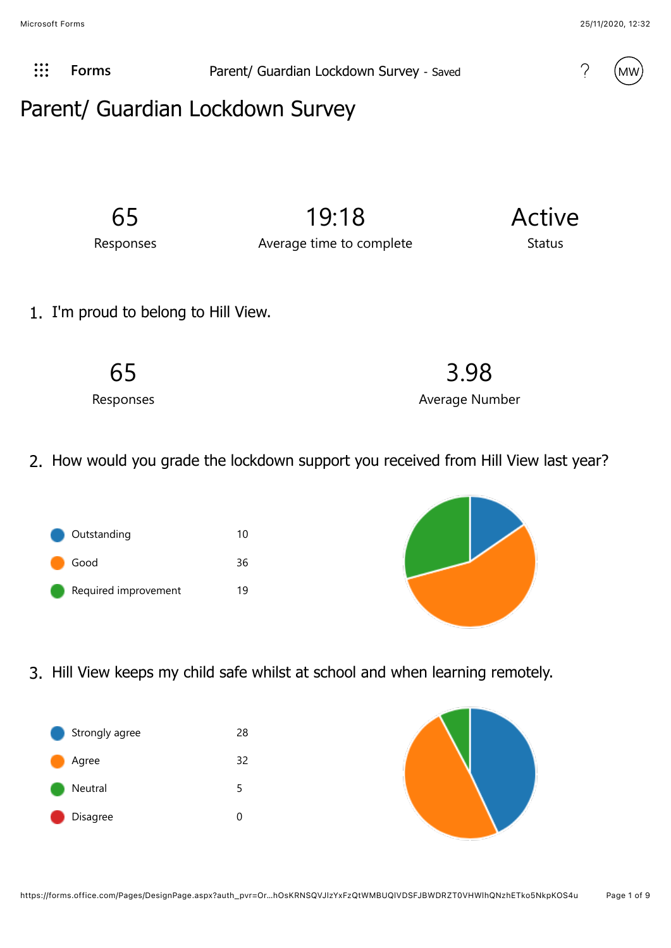Microsoft Forms 25/11/2020, 12:32



**[Forms](javascript:%20FormsOnHeaderAppNameClick())** Parent/ Guardian Lockdown Survey - Saved !!



## Parent/ Guardian Lockdown Survey

65

19:18

Responses

Average time to complete

# Status

Active

1. I'm proud to belong to Hill View.

65 Responses

2. How would you grade the lockdown support you received from Hill View last year?





3.98

Average Number

3. Hill View keeps my child safe whilst at school and when learning remotely.



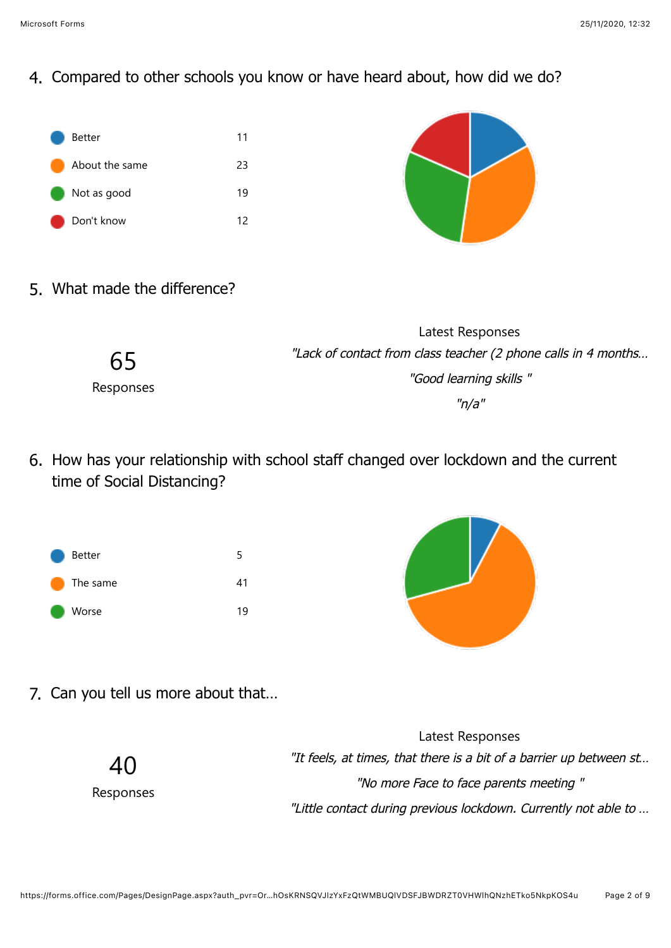4. Compared to other schools you know or have heard about, how did we do?





5. What made the difference?

|           | Latest Responses                                               |
|-----------|----------------------------------------------------------------|
| 65        | "Lack of contact from class teacher (2 phone calls in 4 months |
| Responses | "Good learning skills"                                         |
|           | "n/a"                                                          |

6. How has your relationship with school staff changed over lockdown and the current time of Social Distancing?



7. Can you tell us more about that…

|                 | Latest Responses                                                    |
|-----------------|---------------------------------------------------------------------|
| 40<br>Responses | "It feels, at times, that there is a bit of a barrier up between st |
|                 | "No more Face to face parents meeting"                              |
|                 | "Little contact during previous lockdown. Currently not able to     |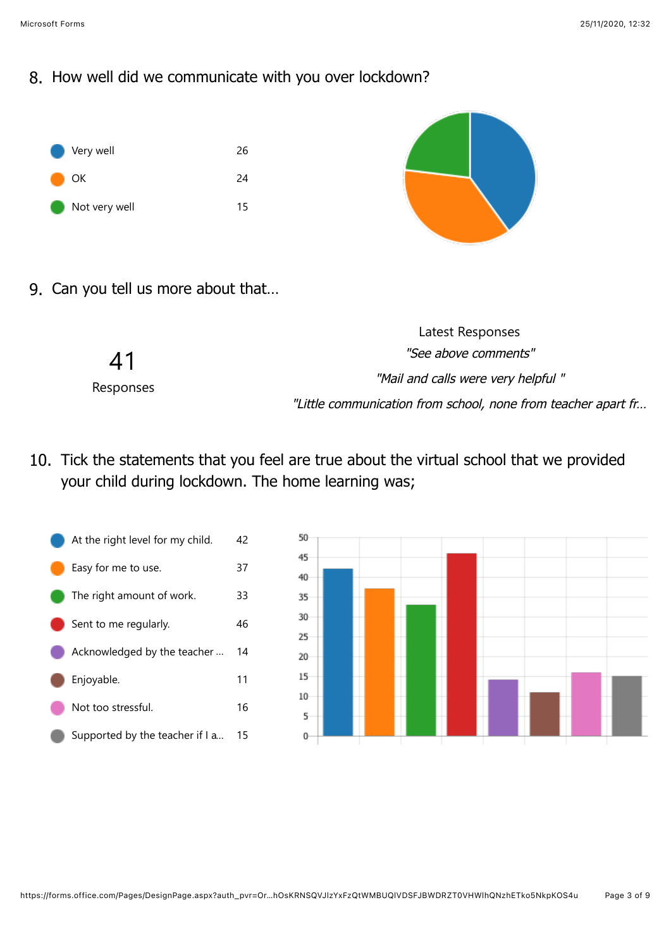8. How well did we communicate with you over lockdown?





9. Can you tell us more about that…

|           | Latest Responses                                              |
|-----------|---------------------------------------------------------------|
| 41        | "See above comments"                                          |
| Responses | "Mail and calls were very helpful"                            |
|           | "Little communication from school, none from teacher apart fr |

10. Tick the statements that you feel are true about the virtual school that we provided your child during lockdown. The home learning was;



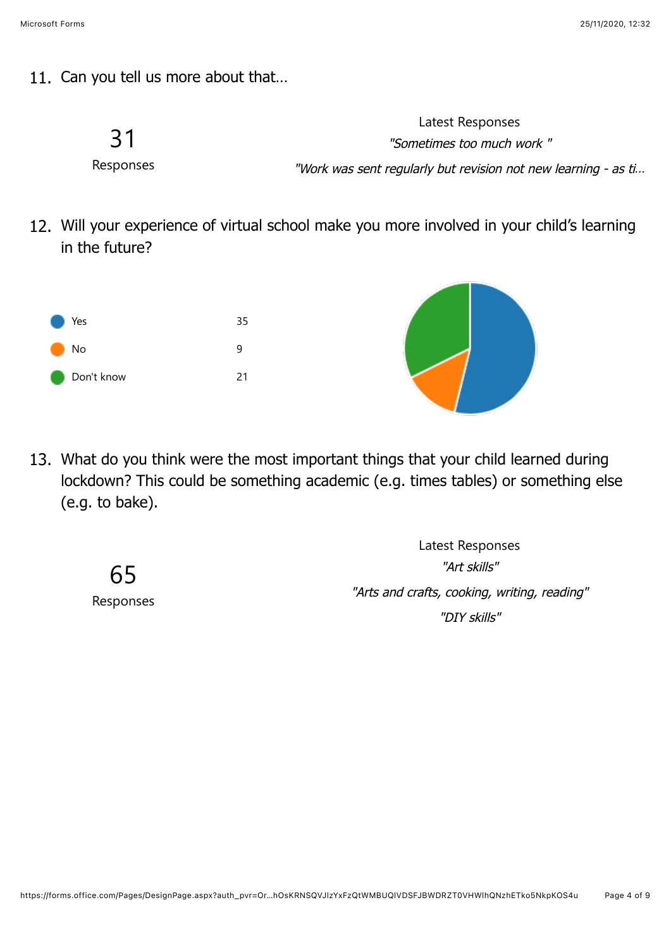11. Can you tell us more about that…



12. Will your experience of virtual school make you more involved in your child's learning in the future?



13. What do you think were the most important things that your child learned during lockdown? This could be something academic (e.g. times tables) or something else (e.g. to bake).

> 65 Responses

Latest Responses "Art skills" "Arts and crafts, cooking, writing, reading" "DIY skills"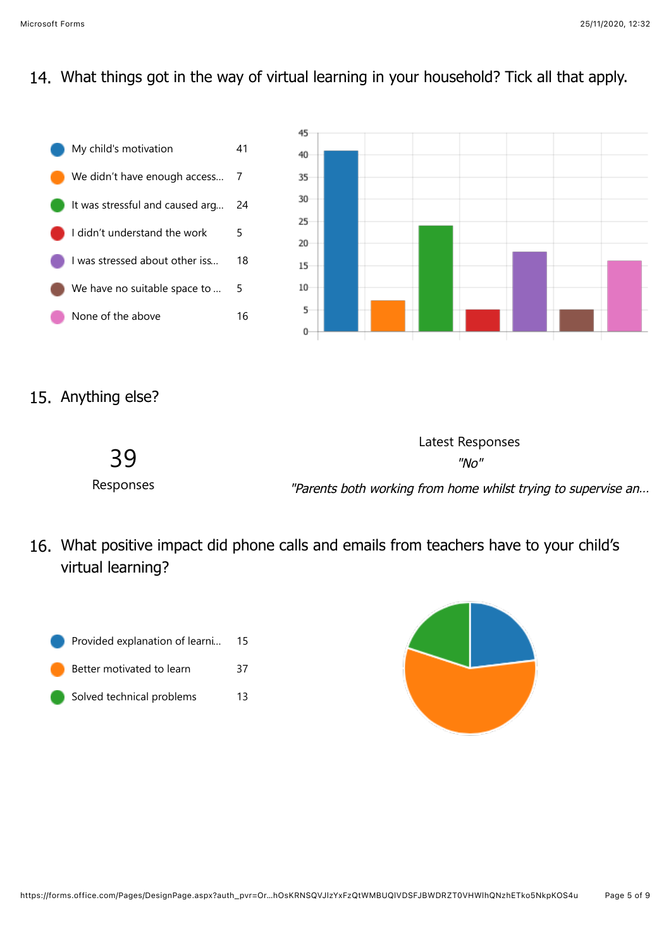#### 14. What things got in the way of virtual learning in your household? Tick all that apply.



#### 15. Anything else?



16. What positive impact did phone calls and emails from teachers have to your child's virtual learning?



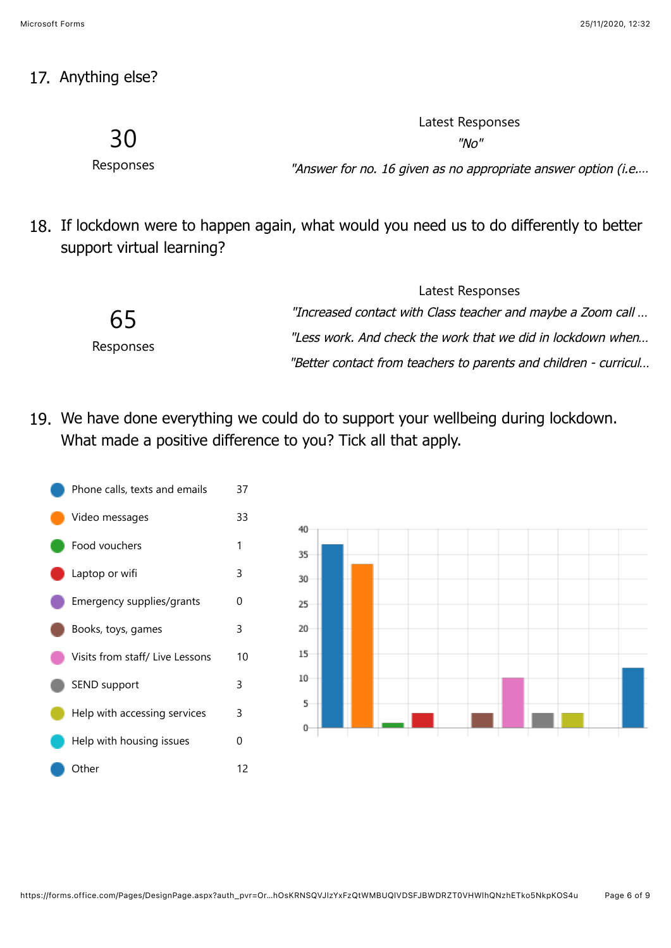#### 17. Anything else?

30

Responses

"No" "Answer for no. 16 given as no appropriate answer option (i.e....

Latest Responses

18. If lockdown were to happen again, what would you need us to do differently to better support virtual learning?

| Latest Responses                                                 |
|------------------------------------------------------------------|
| "Increased contact with Class teacher and maybe a Zoom call      |
| "Less work. And check the work that we did in lockdown when      |
| "Better contact from teachers to parents and children - curricul |
|                                                                  |

19. We have done everything we could do to support your wellbeing during lockdown. What made a positive difference to you? Tick all that apply.



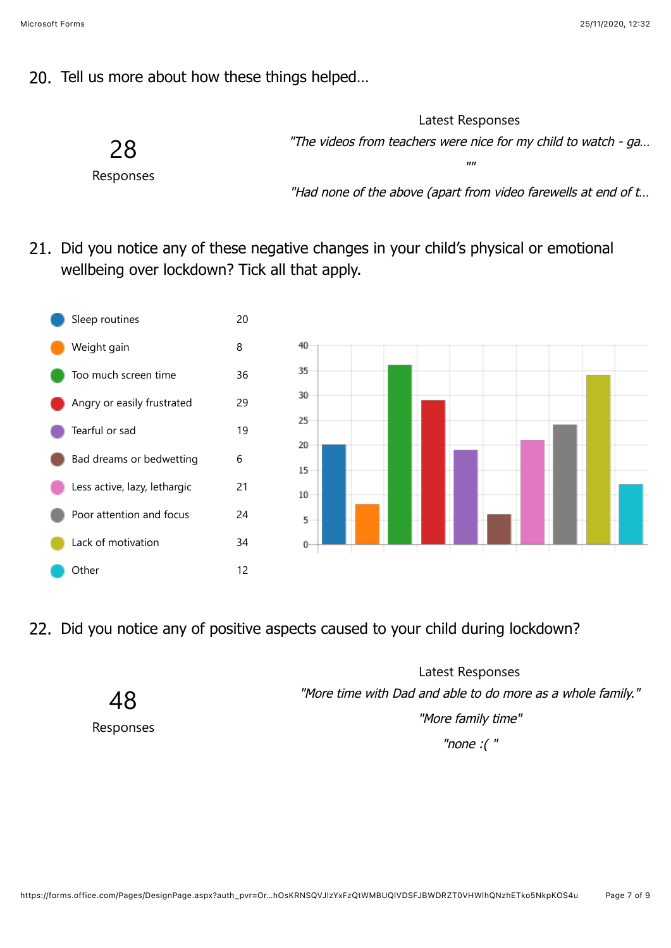#### 20. Tell us more about how these things helped…

28

Latest Responses "The videos from teachers were nice for my child to watch - ga…

Responses

"Had none of the above (apart from video farewells at end of t…

""

21. Did you notice any of these negative changes in your child's physical or emotional wellbeing over lockdown? Tick all that apply.





22. Did you notice any of positive aspects caused to your child during lockdown?

48 Responses

Latest Responses "More time with Dad and able to do more as a whole family." "More family time"

"none :( "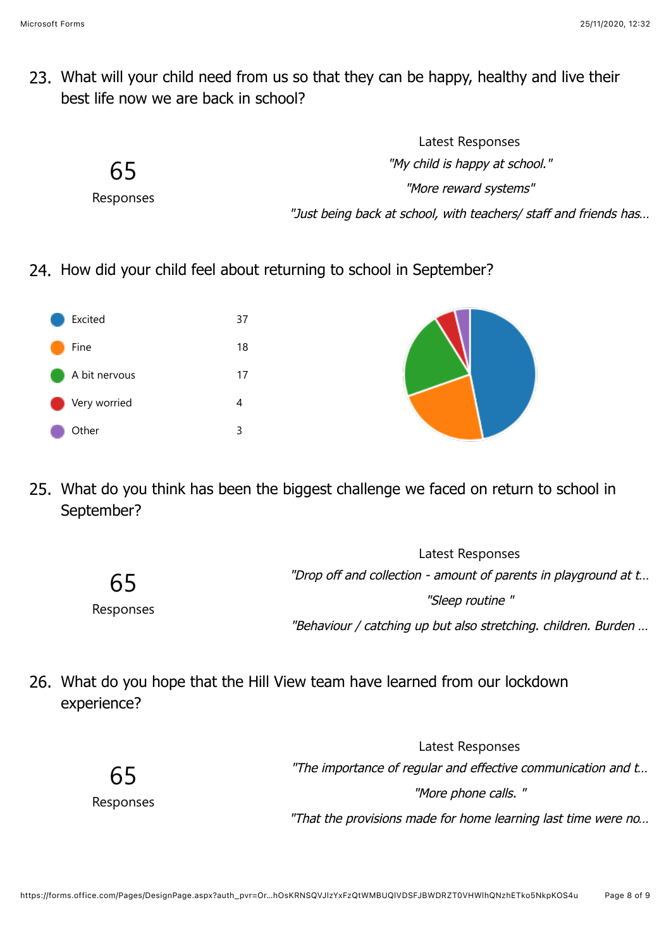23. What will your child need from us so that they can be happy, healthy and live their best life now we are back in school?

|                 | Latest Responses                                                 |
|-----------------|------------------------------------------------------------------|
| 65<br>Responses | "My child is happy at school."                                   |
|                 | "More reward systems"                                            |
|                 | "Just being back at school, with teachers/ staff and friends has |

24. How did your child feel about returning to school in September?



25. What do you think has been the biggest challenge we faced on return to school in September?

|           | Latest Responses                                                |
|-----------|-----------------------------------------------------------------|
| 65        | "Drop off and collection - amount of parents in playground at t |
| Responses | "Sleep routine"                                                 |
|           | "Behaviour / catching up but also stretching. children. Burden  |

26. What do you hope that the Hill View team have learned from our lockdown experience?

> 65 Responses

Latest Responses "The importance of regular and effective communication and t… "More phone calls. " "That the provisions made for home learning last time were no…